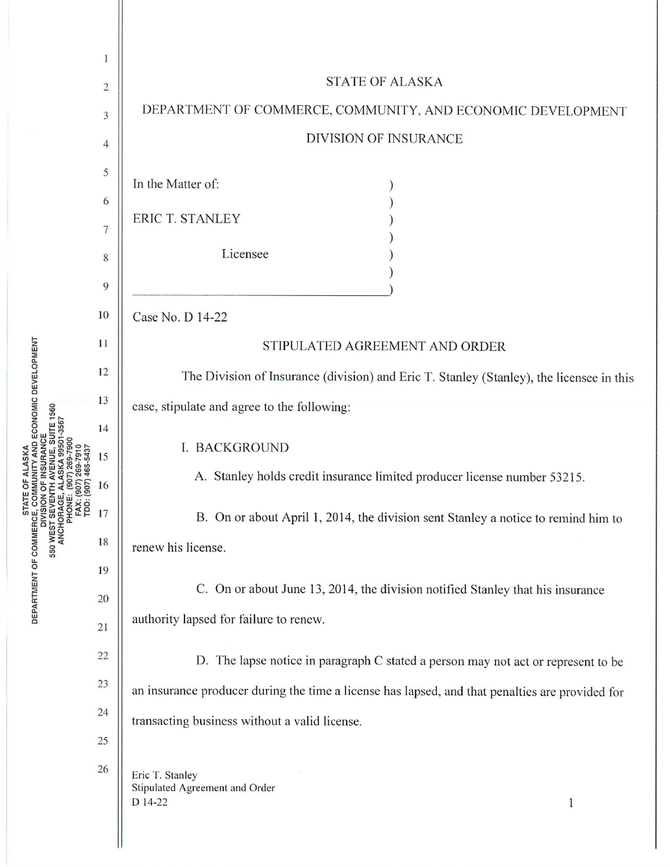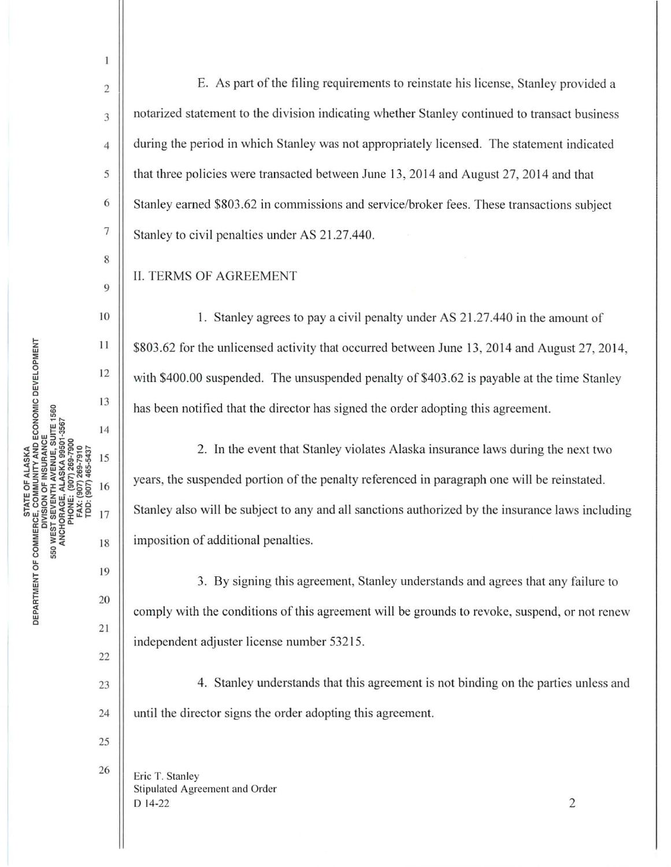8

 $\mathbf{1}$ 

9

11

12

13

14

15

16

17

 $\mathbb{E}$ . As part of the filing requirements to reinstate his license, Stanley provided a  $\frac{3}{3}$  notarized statement to the division indicating whether Stanley continued to transact business 4 during the period in which Stanley was not appropriately licensed. The statement indicated 5 that three policies were transacted between June 13, 2014 and August 27, 2014 and that  $6 \parallel$  Stanley earned \$803.62 in commissions and service/broker fees. These transactions subject  $7 \parallel$  Stanley to civil penalties under AS 21.27.440.

II. TERMS OF AGREEMENT

10 1. Stanley agrees to pay a civil penalty under AS 21.27.440 in the amount of \$803.62 for the unlicensed activity that occurred between June 13, 2014 and August 27, 2014, with \$400.00 suspended. The unsuspended penalty of \$403.62 is payable at the time Stanley has been notified that the director has signed the order adopting this agreement.

2. In the event that Stanley violates Alaska insurance laws during the next two years, the suspended portion of the penalty referenced in paragraph one will be reinstated. Stanley also will be subject to any and all sanctions authorized by the insurance laws including imposition of additional penalties.

3. By signing this agreement, Stanley understands and agrees that any failure to comply with the conditions of this agreement will be grounds to revoke, suspend, or not renew independent adjuster license number 53215.

 $23$  || 4. Stanley understands that this agreement is not binding on the parties unless and 24 | until the director signs the order adopting this agreement.

25

19

18

20

21

22

 $\frac{26}{\text{Eric T. Stanley}}$ Stipulated Agreement and Order  $D$  14-22 2